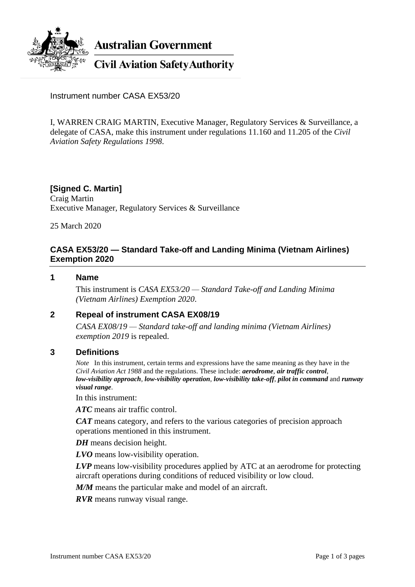

Instrument number CASA EX53/20

I, WARREN CRAIG MARTIN, Executive Manager, Regulatory Services & Surveillance, a delegate of CASA, make this instrument under regulations 11.160 and 11.205 of the *Civil Aviation Safety Regulations 1998*.

## **[Signed C. Martin]**

Craig Martin Executive Manager, Regulatory Services & Surveillance

25 March 2020

## **CASA EX53/20 — Standard Take-off and Landing Minima (Vietnam Airlines) Exemption 2020**

#### **1 Name**

This instrument is *CASA EX53/20 — Standard Take-off and Landing Minima (Vietnam Airlines) Exemption 2020*.

## **2 Repeal of instrument CASA EX08/19**

*CASA EX08/19 — Standard take-off and landing minima (Vietnam Airlines) exemption 2019* is repealed.

#### **3 Definitions**

*Note* In this instrument, certain terms and expressions have the same meaning as they have in the *Civil Aviation Act 1988* and the regulations. These include: *aerodrome*, *air traffic control*, *low-visibility approach*, *low-visibility operation*, *low-visibility take-off*, *pilot in command* and *runway visual range*.

In this instrument:

*ATC* means air traffic control.

*CAT* means category, and refers to the various categories of precision approach operations mentioned in this instrument.

*DH* means decision height.

*LVO* means low-visibility operation.

*LVP* means low-visibility procedures applied by ATC at an aerodrome for protecting aircraft operations during conditions of reduced visibility or low cloud.

*M/M* means the particular make and model of an aircraft.

*RVR* means runway visual range.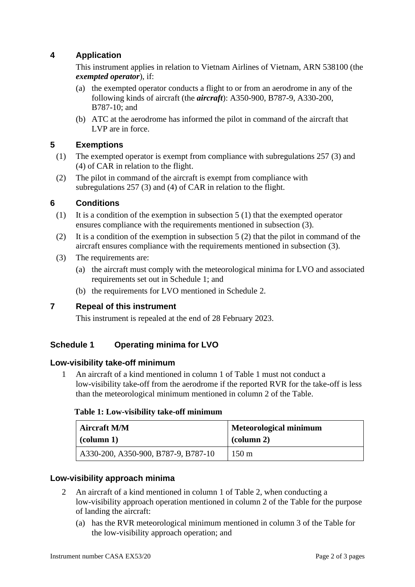# **4 Application**

This instrument applies in relation to Vietnam Airlines of Vietnam, ARN 538100 (the *exempted operator*), if:

- (a) the exempted operator conducts a flight to or from an aerodrome in any of the following kinds of aircraft (the *aircraft*): A350-900, B787-9, A330-200, B787-10; and
- (b) ATC at the aerodrome has informed the pilot in command of the aircraft that LVP are in force.

## **5 Exemptions**

- (1) The exempted operator is exempt from compliance with subregulations 257 (3) and (4) of CAR in relation to the flight.
- (2) The pilot in command of the aircraft is exempt from compliance with subregulations 257 (3) and (4) of CAR in relation to the flight.

## **6 Conditions**

- (1) It is a condition of the exemption in subsection 5 (1) that the exempted operator ensures compliance with the requirements mentioned in subsection (3).
- (2) It is a condition of the exemption in subsection 5 (2) that the pilot in command of the aircraft ensures compliance with the requirements mentioned in subsection (3).
- (3) The requirements are:
	- (a) the aircraft must comply with the meteorological minima for LVO and associated requirements set out in Schedule 1; and
	- (b) the requirements for LVO mentioned in Schedule 2.

# **7 Repeal of this instrument**

This instrument is repealed at the end of 28 February 2023.

# **Schedule 1 Operating minima for LVO**

#### **Low-visibility take-off minimum**

1 An aircraft of a kind mentioned in column 1 of Table 1 must not conduct a low-visibility take-off from the aerodrome if the reported RVR for the take-off is less than the meteorological minimum mentioned in column 2 of the Table.

#### **Table 1: Low-visibility take-off minimum**

| <b>Aircraft M/M</b>                 | Meteorological minimum |
|-------------------------------------|------------------------|
| $\alpha$ (column 1)                 | $\alpha$ (column 2)    |
| A330-200, A350-900, B787-9, B787-10 | $150 \text{ m}$        |

## **Low-visibility approach minima**

- 2 An aircraft of a kind mentioned in column 1 of Table 2, when conducting a low-visibility approach operation mentioned in column 2 of the Table for the purpose of landing the aircraft:
	- (a) has the RVR meteorological minimum mentioned in column 3 of the Table for the low-visibility approach operation; and